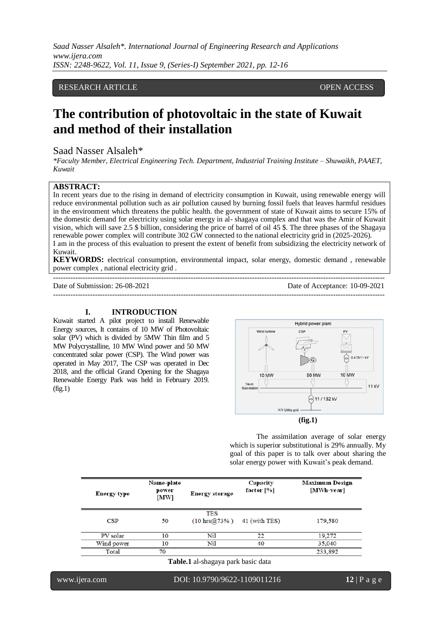*Saad Nasser Alsaleh\*. International Journal of Engineering Research and Applications www.ijera.com ISSN: 2248-9622, Vol. 11, Issue 9, (Series-I) September 2021, pp. 12-16*

# RESEARCH ARTICLE **CONSERVERS** OPEN ACCESS

# **The contribution of photovoltaic in the state of Kuwait and method of their installation**

# Saad Nasser Alsaleh\*

*\*Faculty Member, Electrical Engineering Tech. Department, Industrial Training Institute – Shuwaikh, PAAET, Kuwait*

## **ABSTRACT:**

In recent years due to the rising in demand of electricity consumption in Kuwait, using renewable energy will reduce environmental pollution such as air pollution caused by burning fossil fuels that leaves harmful residues in the environment which threatens the public health. the government of state of Kuwait aims to secure 15% of the domestic demand for electricity using solar energy in al- shagaya complex and that was the Amir of Kuwait vision, which will save 2.5 \$ billion, considering the price of barrel of oil 45 \$. The three phases of the Shagaya renewable power complex will contribute 302 GW connected to the national electricity grid in (2025-2026). I am in the process of this evaluation to present the extent of benefit from subsidizing the electricity network of Kuwait.

**KEYWORDS:** electrical consumption, environmental impact, solar energy, domestic demand , renewable power complex , national electricity grid .

---------------------------------------------------------------------------------------------------------------------------------------

Date of Submission: 26-08-2021 Date of Acceptance: 10-09-2021

#### **I. INTRODUCTION**

---------------------------------------------------------------------------------------------------------------------------------------

Kuwait started A pilot project to install Renewable Energy sources, It contains of 10 MW of Photovoltaic solar (PV) which is divided by 5MW Thin film and 5 MW Polycrystalline, 10 MW Wind power and 50 MW concentrated solar power (CSP). The Wind power was operated in May 2017, The CSP was operated in Dec 2018, and the official Grand Opening for the Shagaya Renewable Energy Park was held in February 2019.  $(fig.1)$ 



The assimilation average of solar energy which is superior substitutional is 29% annually. My goal of this paper is to talk over about sharing the solar energy power with Kuwait's peak demand.

| Energy type | Name-plate<br>power<br>[MW] | Energy storage                             | Capacity<br>factor $[\%]$ | Maximum Design<br>[MWh-year] |
|-------------|-----------------------------|--------------------------------------------|---------------------------|------------------------------|
| CSP         | 50                          | <b>TES</b><br>$(10 \, \text{hrs} @ 73\% )$ | 41 (with TES)             | 179,580                      |
| PV solar    | 10                          | Nil                                        | 22                        | 19,272                       |
| Wind power  | 10                          | Nil                                        | 40                        | 35,040                       |
| Total       | 70                          |                                            |                           | 233,892                      |

**Table.1** al-shagaya park basic data

www.ijera.com DOI: 10.9790/9622-1109011216 **12** | P a g e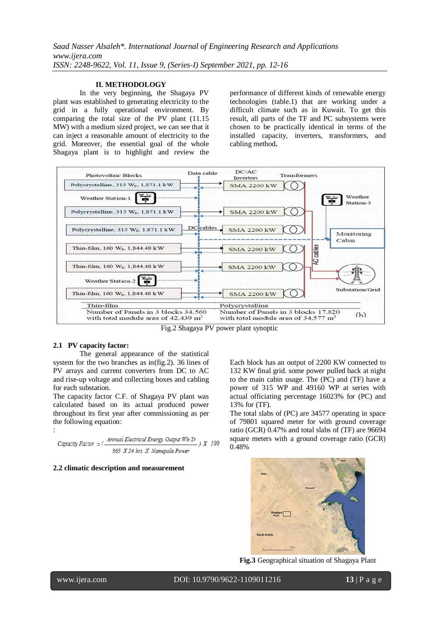#### **II. METHODOLOGY**

In the very beginning, the Shagaya PV plant was established to generating electricity to the grid in a fully operational environment. By comparing the total size of the PV plant (11.15 MW) with a medium sized project, we can see that it can inject a reasonable amount of electricity to the grid. Moreover, the essential goal of the whole Shagaya plant is to highlight and review the performance of different kinds of renewable energy technologies (table.1) that are working under a difficult climate such as in Kuwait. To get this result, all parts of the TF and PC subsystems were chosen to be practically identical in terms of the installed capacity, inverters, transformers, and cabling method**.**



Fig.2 Shagaya PV power plant synoptic

#### **2.1 PV capacity factor:**

:

The general appearance of the statistical system for the two branches as in(fig.2). 36 lines of PV arrays and current converters from DC to AC and rise-up voltage and collecting boxes and cabling for each substation.

The capacity factor C.F. of Shagaya PV plant was calculated based on its actual produced power throughout its first year after commissioning as per the following equation:

\n
$$
\text{Capacity Factor} = \left( \frac{\text{Annual Electrical Energy Output Wh-Yr}}{365 \times 24 \, \text{hrs} \times \text{Namepale Power}} \right) \times 100
$$
\n

## **2.2 climatic description and measurement**

Each block has an output of 2200 KW connected to 132 KW final grid. some power pulled back at night to the main cabin usage. The (PC) and (TF) have a power of 315 WP and 49160 WP at series with actual officiating percentage 16023% for (PC) and 13% for (TF).

The total slabs of (PC) are 34577 operating in space of 79801 squared meter for with ground coverage ratio (GCR) 0.47% and total slabs of (TF) are 96694 square meters with a ground coverage ratio (GCR) 0.48%



**Fig.3** Geographical situation of Shagaya Plant

www.ijera.com DOI: 10.9790/9622-1109011216 **13** | P a g e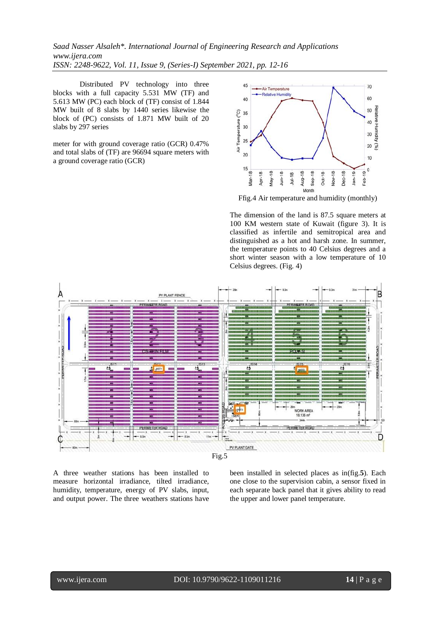*Saad Nasser Alsaleh\*. International Journal of Engineering Research and Applications www.ijera.com ISSN: 2248-9622, Vol. 11, Issue 9, (Series-I) September 2021, pp. 12-16*

Distributed PV technology into three blocks with a full capacity 5.531 MW (TF) and 5.613 MW (PC) each block of (TF) consist of 1.844 MW built of 8 slabs by 1440 series likewise the block of (PC) consists of 1.871 MW built of 20 slabs by 297 series

meter for with ground coverage ratio (GCR) 0.47% and total slabs of (TF) are 96694 square meters with a ground coverage ratio (GCR)



Ffig.4 Air temperature and humidity (monthly)

The dimension of the land is 87.5 square meters at 100 KM western state of Kuwait (figure 3). It is classified as infertile and semitropical area and distinguished as a hot and harsh zone. In summer, the temperature points to 40 Celsius degrees and a short winter season with a low temperature of 10 Celsius degrees. (Fig. 4)



A three weather stations has been installed to measure horizontal irradiance, tilted irradiance, humidity, temperature, energy of PV slabs, input, and output power. The three weathers stations have been installed in selected places as in(fig.**5**). Each one close to the supervision cabin, a sensor fixed in each separate back panel that it gives ability to read the upper and lower panel temperature.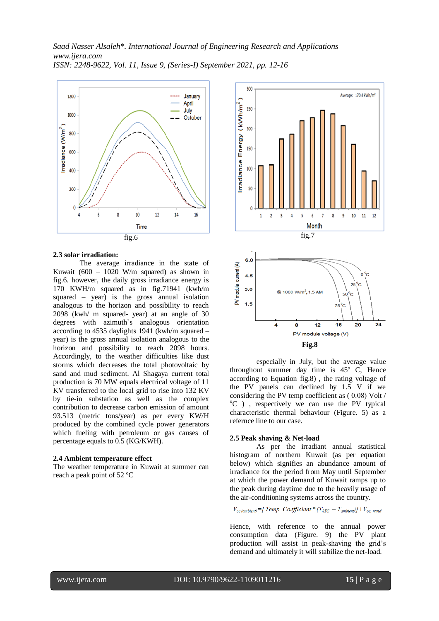

#### **2.3 solar irradiation:**

The average irradiance in the state of Kuwait (600 – 1020 W/m squared) as shown in fig.6. however, the daily gross irradiance energy is 170 KWH/m squared as in fig.71941 (kwh/m squared – year) is the gross annual isolation analogous to the horizon and possibility to reach 2098 (kwh/ m squared- year) at an angle of 30 degrees with azimuth`s analogous orientation according to 4535 daylights 1941 (kwh/m squared – year) is the gross annual isolation analogous to the horizon and possibility to reach 2098 hours. Accordingly, to the weather difficulties like dust storms which decreases the total photovoltaic by sand and mud sediment. Al Shagaya current total production is 70 MW equals electrical voltage of 11 KV transferred to the local grid to rise into 132 KV by tie-in substation as well as the complex contribution to decrease carbon emission of amount 93.513 (metric tons/year) as per every KW/H produced by the combined cycle power generators which fueling with petroleum or gas causes of percentage equals to 0.5 (KG/KWH).

#### **2.4 Ambient temperature effect**

The weather temperature in Kuwait at summer can reach a peak point of 52 ºC



especially in July, but the average value throughout summer day time is 45º C, Hence according to Equation fig.8) , the rating voltage of the PV panels can declined by 1.5 V if we considering the PV temp coefficient as  $(0.08)$  Volt /  $^{\circ}$ C ), respectively we can use the PV typical characteristic thermal behaviour (Figure. 5) as a refernce line to our case.

## **2.5 Peak shaving & Net-load**

As per the irradiant annual statistical histogram of northern Kuwait (as per equation below) which signifies an abundance amount of irradiance for the period from May until September at which the power demand of Kuwait ramps up to the peak during daytime due to the heavily usage of the air-conditioning systems across the country.

$$
V_{oc\ (ambient)} = [Temp. Coefficient * (T_{STC} - T_{ambient})] + V_{oc, rated}
$$

Hence, with reference to the annual power consumption data (Figure. 9) the PV plant production will assist in peak-shaving the grid's demand and ultimately it will stabilize the net-load.